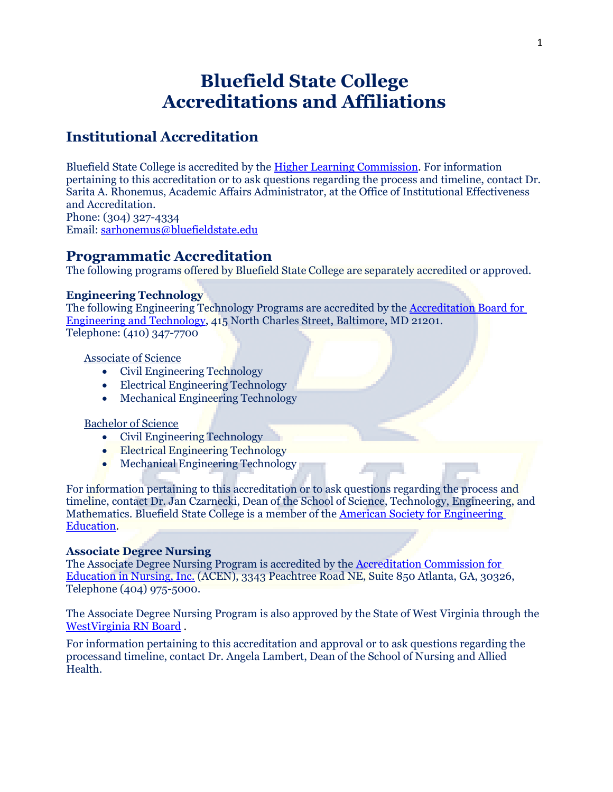# **Bluefield State College Accreditations and Affiliations**

## **Institutional Accreditation**

Bluefield State College is accredited by th[e Higher Learning Commission.](http://www.hlcommission.org/) For information pertaining to this accreditation or to ask questions regarding the process and timeline, contact Dr. Sarita A. Rhonemus, Academic Affairs Administrator, at the Office of Institutional Effectiveness and Accreditation. Phone: (304) 327-4334

Email: [sarhonemus@bluefieldstate.edu](mailto:sarhonemus@bluefieldstate.edu)

### **Programmatic Accreditation**

The following programs offered by Bluefield State College are separately accredited or approved.

#### **Engineering Technology**

The following Engineering Technology Programs are accredited by the [Accreditation Board for](http://www.abet.org/) [Engineering and Technology,](http://www.abet.org/) 415 North Charles Street, Baltimore, MD 21201. Telephone: (410) 347-7700

#### Associate of Science

- Civil Engineering Technology
- Electrical Engineering Technology
- Mechanical Engineering Technology

#### Bachelor of Science

- Civil Engineering Technology
- Electrical Engineering Technology
- Mechanical Engineering Technology

For information pertaining to this accreditation or to ask questions regarding the process and timeline, contact Dr. Jan Czarnecki, Dean of the School of Science, Technology, Engineering, and Mathematics. Bluefield State College is a member of the [American Society for Engineering](https://www.asee.org/)  [Education.](https://www.asee.org/)

#### **Associate Degree Nursing**

The Associate Degree Nursing Program is accredited by the [Accreditation Commission for](http://www.acenursing.org/)  Education in [Nursing, Inc.](http://www.acenursing.org/) (ACEN), 3343 Peachtree Road NE, Suite 850 Atlanta, GA, 30326, Telephone (404) 975-5000.

The Associate Degree Nursing Program is also approved by the State of West Virginia through the [WestVirginia](https://wvrnboard.wv.gov/Pages/default.aspx) RN Board .

For information pertaining to this accreditation and approval or to ask questions regarding the processand timeline, contact Dr. Angela Lambert, Dean of the School of Nursing and Allied Health.